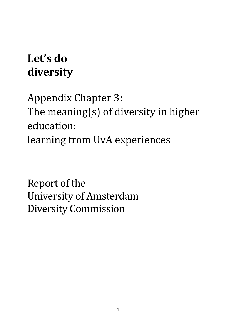# **Let's do diversity**

Appendix Chapter 3: The meaning(s) of diversity in higher education: learning from UvA experiences

Report of the University of Amsterdam Diversity Commission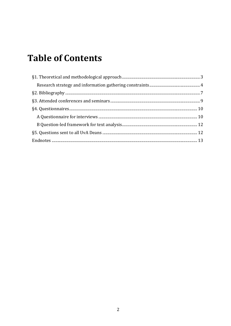# **Table of Contents**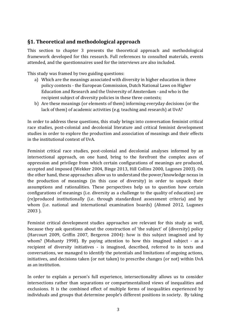## <span id="page-2-0"></span>**§1. Theoretical and methodological approach**

This section to chapter 3 presents the theoretical approach and methodological framework developed for this research. Full references to consulted materials, events attended, and the questionnaires used for the interviews are also included.

This study was framed by two guiding questions:

- a) Which are the meanings associated with diversity in higher education in three policy contexts - the European Commission, Dutch National Laws on Higher Education and Research and the University of Amsterdam - and who is the recipient subject of diversity policies in these three contexts;
- b) Are these meanings (or elements of them) informing everyday decisions (or the lack of them) of academic activities (e.g. teaching and research) at UvA?

In order to address these questions, this study brings into conversation feminist critical race studies, post-colonial and decolonial literature and critical feminist development studies in order to explore the production and association of meanings and their effects in the institutional context of UvA.

Feminist critical race studies, post-colonial and decolonial analyses informed by an intersectional approach, on one hand, bring to the forefront the complex axes of oppression and privilege from which certain configurations of meanings are produced, accepted and imposed (Wekker 2004, Binge 2013, Hill Collins 2000, Lugones 2003). On the other hand, these approaches allow us to understand the power/knowledge nexus in the production of meanings (in this case of diversity) in order to unpack their assumptions and rationalities. These perspectives help us to question how certain configurations of meanings (i.e. diversity as a challenge to the quality of education) are (re)produced institutionally (i.e. through standardized assessment criteria) and by whom (i.e. national and international examination boards) (Ahmed 2012, Lugones 2003 ).

Feminist critical development studies approaches are relevant for this study as well, because they ask questions about the construction of 'the subject' of (diversity) policy (Harcourt 2009, Griffin 2007, Bergeron 2004): how is this subject imagined and by whom? (Mohanty 1998). By paying attention to how this imagined subject - as a recipient of diversity initiatives - is imagined, described, referred to in texts and conversations, we managed to identify the potentials and limitations of ongoing actions, initiatives, and decisions taken (or not taken) to prescribe changes (or not) within UvA as an institution.

In order to explain a person's full experience, intersectionality allows us to consider intersections rather than separations or compartmentalized views of inequalities and exclusions. It is the combined effect of multiple forms of inequalities experienced by individuals and groups that determine people's different positions in society. By taking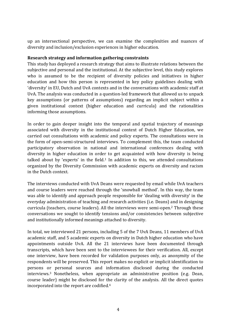up an intersectional perspective, we can examine the complexities and nuances of diversity and inclusion/exclusion experiences in higher education.

#### <span id="page-3-0"></span>**Research strategy and information gathering constraints**

This study has deployed a research strategy that aims to illustrate relations between the subjective and personal and the institutional. At the subjective level, this study explores who is assumed to be the recipient of diversity policies and initiatives in higher education and how this person is represented in key policy guidelines dealing with 'diversity' in EU, Dutch and UvA contexts and in the conversations with academic staff at UvA. The analysis was conducted in a question-led framework that allowed us to unpack key assumptions (or patterns of assumptions) regarding an implicit subject within a given institutional context (higher education and curricula) and the rationalities informing those assumptions.

In order to gain deeper insight into the temporal and spatial trajectory of meanings associated with diversity in the institutional context of Dutch Higher Education, we carried out consultations with academic and policy experts. The consultations were in the form of open-semi-structured interviews. To complement this, the team conducted participatory observation in national and international conferences dealing with diversity in higher education in order to get acquainted with how diversity is being talked about by 'experts' in the field.<sup>1</sup> In addition to this, we attended consultations organized by the Diversity Commission with academic experts on diversity and racism in the Dutch context.

The interviews conducted with UvA Deans were requested by email while UvA teachers and course leaders were reached through the 'snowball method'. In this way, the team was able to identify and approach people responsible for 'dealing with diversity' in the everyday administration of teaching and research activities (i.e. Deans) and in designing curricula (teachers, course leaders). All the interviews were semi-open.<sup>2</sup> Through these conversations we sought to identify tensions and/or consistencies between subjective and institutionally informed meanings attached to diversity.

In total, we interviewed 21 persons, including 5 of the 7 UvA Deans, 11 members of UvA academic staff, and 5 academic experts on diversity in Dutch higher education who have appointments outside UvA. All the 21 interviews have been documented through transcripts, which have been sent to the interviewees for their verification. All, except one interview, have been recorded for validation purposes only, as anonymity of the respondents will be preserved. This report makes no explicit or implicit identification to persons or personal sources and information disclosed during the conducted interviews.<sup>3</sup> Nonetheless, when appropriate an administrative position (e.g. Dean, course leader) might be disclosed for the clarity of the analysis. All the direct quotes incorporated into the report are codified.4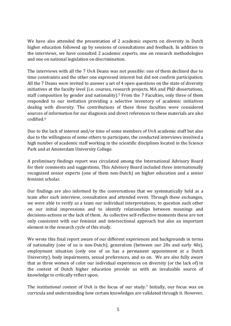We have also attended the presentation of 2 academic experts on diversity in Dutch higher education followed up by sessions of consultations and feedback. In addition to the interviews, we have consulted 2 academic experts, one on research methodologies and one on national legislation on discrimination.

The interviews with all the 7 UvA Deans was not possible: one of them declined due to time constraints and the other one expressed interest but did not confirm participation. All the 7 Deans were invited to answer a set of 4 open questions on the state of diversity initiatives at the faculty level (i.e. courses, research projects, MA and PhD dissertations, staff composition by gender and nationality).<sup>5</sup> From the 7 Faculties, only three of them responded to our invitation providing a selective inventory of academic initiatives dealing with diversity. The contributions of these three faculties were considered sources of information for our diagnosis and direct references to these materials are also codified.<sup>6</sup>

Due to the lack of interest and/or time of some members of UvA academic staff but also due to the willingness of some others to participate, the conducted interviews involved a high number of academic staff working in the scientific disciplines located in the Science Park and at Amsterdam University College.

A preliminary findings report was circulated among the International Advisory Board for their comments and suggestions. This Advisory Board included three internationally recognized senior experts (one of them non-Dutch) on higher education and a senior feminist scholar.

Our findings are also informed by the conversations that we systematically held as a team after each interview, consultation and attended event. Through these exchanges, we were able to verify as a team our individual interpretations, to question each other on our initial impressions and to identify relationships between meanings and decisions-actions or the lack of them. As collective self-reflective moments these are not only consistent with our feminist and intersectional approach but also an important element in the research cycle of this study.

We wrote this final report aware of our different experiences and backgrounds in terms of nationality (one of us is non-Dutch), generation (between our 20s and early 40s), employment situation (only one of us has a permanent appointment at a Dutch University), body impairments, sexual preferences, and so on. We are also fully aware that as three women of color our individual experiences on diversity (or the lack of) in the context of Dutch higher education provide us with an invaluable source of knowledge to critically reflect upon.

The *institutional context* of UvA is the focus of our study.<sup>7</sup> Initially, our focus was on curricula and understanding how certain knowledges are validated through it. However,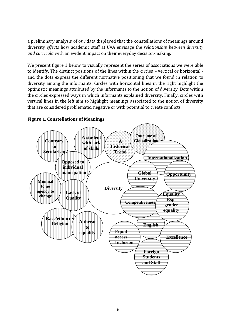a preliminary analysis of our data displayed that the constellations of meanings around diversity *effects* how academic staff at UvA envisage the *relationship between diversity and curricula* with an evident impact on their everyday decision-making.

We present figure 1 below to visually represent the series of associations we were able to identify. The distinct positions of the lines within the circles – vertical or horizontal and the dots express the different normative positioning that we found in relation to diversity among the informants. Circles with horizontal lines in the right highlight the optimistic meanings attributed by the informants to the notion of diversity. Dots within the circles expressed ways in which informants explained diversity. Finally, circles with vertical lines in the left aim to highlight meanings associated to the notion of diversity that are considered problematic, negative or with potential to create conflicts.



#### **Figure 1. Constellations of Meanings**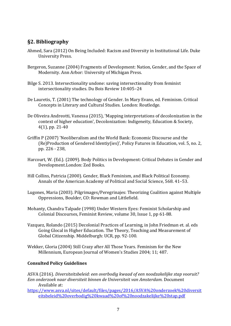# <span id="page-6-0"></span>**§2. Bibliography**

- Ahmed, Sara (2012) On Being Included: Racism and Diversity in Institutional Life. Duke University Press.
- Bergeron, Suzanne (2004) Fragments of Development: Nation, Gender, and the Space of Modernity. Ann Arbor: University of Michigan Press.
- Bilge S. 2013. Intersectionality undone: saving intersectionality from feminist intersectionality studies. Du Bois Review 10:405–24
- De Lauretis, T. (2001) The technology of Gender. In Mary Evans, ed. Feminism. Critical Concepts in Literary and Cultural Studies. London: Routledge.
- De Oliveira Andreotti, Vanessa (2015), 'Mapping interpretations of decolonization in the context of higher education', Decolonization: Indigeneity, Education & Society, 4(1), pp. 21-40
- Griffin P (2007) 'Neoliberalism and the World Bank: Economic Discourse and the (Re)Production of Gendered Identiy(ies)', Policy Futures in Education, vol. 5, no. 2, pp. 226 - 238,
- Harcourt, W. (Ed.). (2009). Body Politics in Development: Critical Debates in Gender and Development.London: Zed Books.
- Hill Collins, Patricia (2000). Gender, Black Feminism, and Black Political Economy. Annals of the American Academy of Political and Social Science, 568. 41–53.
- Lugones, Maria (2003). Pilgrimages/Peregrinajes: Theorizing Coalition against Multiple Oppressions, Boulder, CO: Rowman and Littlefield.
- Mohanty, Chandra Talpade (1998) Under Western Eyes: Feminist Scholarship and Colonial Discourses, [Feminist](http://link.springer.com/journal/41305) Review, volume 30, [Issue](http://link.springer.com/journal/41305/30/1/page/1) 1, pp 61-88.
- Vazquez, Rolando (2015) Decolonial Practices of Learning, in John Friedman et. al. eds Going Glocal in Higher Education. The Theory, Teaching and Measurement of Global Citizenship. Middelburgh: UCR, pp. 92-100.
- Wekker, Gloria (2004) Still Crazy after All Those Years. Feminism for the New Millennium, European Journal of Women's Studies 2004; 11; 487.

#### **Consulted Policy Guidelines**

ASVA (2016). *Diversiteitsbeleid: een overbodig kwaad of een noodzakelijke stap vooruit? Een onderzoek naar diversiteit binnen de Universiteit van Amsterdam.* Document Available at:

[https://www.asva.nl/sites/default/files/pages/2016/ASVA%20onderzoek%20diversit](https://www.asva.nl/sites/default/files/pages/2016/ASVA%20onderzoek%20diversiteitsbeleid%20overbodig%20kwaad%20of%20noodzakelijke%20stap.pdf) [eitsbeleid%20overbodig%20kwaad%20of%20noodzakelijke%20stap.pdf](https://www.asva.nl/sites/default/files/pages/2016/ASVA%20onderzoek%20diversiteitsbeleid%20overbodig%20kwaad%20of%20noodzakelijke%20stap.pdf)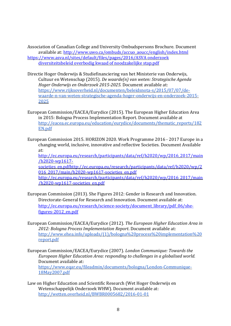Association of Canadian College and University Ombudspersons Brochure. Document available at: [http://www.uwo.ca/ombuds/accuo\\_aoucc/english/index.html](http://www.uwo.ca/ombuds/accuo_aoucc/english/index.html) [https://www.asva.nl/sites/default/files/pages/2016/ASVA](https://www.asva.nl/sites/default/files/pages/2016/ASVA%20onderzoek%20diversiteitsbeleid%20overbodig%20kwaad%20of%20noodzakelijke%20stap.pdf) onderzoek [diversiteitsbeleid](https://www.asva.nl/sites/default/files/pages/2016/ASVA%20onderzoek%20diversiteitsbeleid%20overbodig%20kwaad%20of%20noodzakelijke%20stap.pdf) overbodig kwaad of noodzakelijke stap.pdf

- Directie Hoger Onderwijs & Studiefinanciering van het Ministerie van Onderwijs, Cultuur en Wetenschap (2015). *De waarde(n) van weten: Strategische Agenda Hoger Onderwijs en Onderzoek 2015-2025.* Document available at: [https://www.rijksoverheid.nl/documenten/beleidsnota-s/2015/07/07/de](https://www.rijksoverheid.nl/documenten/beleidsnota-s/2015/07/07/de-waarde-n-van-weten-strategische-agenda-hoger-onderwijs-en-onderzoek-2015-2025)[waarde-n-van-weten-strategische-agenda-hoger-onderwijs-en-onderzoek-2015-](https://www.rijksoverheid.nl/documenten/beleidsnota-s/2015/07/07/de-waarde-n-van-weten-strategische-agenda-hoger-onderwijs-en-onderzoek-2015-2025) [2025](https://www.rijksoverheid.nl/documenten/beleidsnota-s/2015/07/07/de-waarde-n-van-weten-strategische-agenda-hoger-onderwijs-en-onderzoek-2015-2025)
- European Commission/EACEA/Eurydice (2015). The European Higher Education Area in 2015: Bologna Process Implementation Report. Document available at [http://eacea.ec.europa.eu/education/eurydice/documents/thematic\\_reports/182](http://eacea.ec.europa.eu/education/eurydice/documents/thematic_reports/182EN.pdf) [EN.pdf](http://eacea.ec.europa.eu/education/eurydice/documents/thematic_reports/182EN.pdf)
- European Commission 2015. HORIZON 2020. Work Programme 2016 2017 Europe in a changing world, inclusive, innovative and reflective Societies. Document Available at:

[http://ec.europa.eu/research/participants/data/ref/h2020/wp/2016\\_2017/main](http://ec.europa.eu/research/participants/data/ref/h2020/wp/2016_2017/main/h2020-wp1617-societies_en.pdf) [/h2020-wp1617-](http://ec.europa.eu/research/participants/data/ref/h2020/wp/2016_2017/main/h2020-wp1617-societies_en.pdf)

[societies\\_en.pdfhttp://ec.europa.eu/research/participants/data/ref/h2020/wp/2](http://ec.europa.eu/research/participants/data/ref/h2020/wp/2016_2017/main/h2020-wp1617-societies_en.pdf) 016 2017/main/h2020-wp1617-societies en.pdf [http://ec.europa.eu/research/participants/data/ref/h2020/wp/2016\\_2017/main](http://ec.europa.eu/research/participants/data/ref/h2020/wp/2016_2017/main/h2020-wp1617-societies_en.pdf)

[/h2020-wp1617-societies\\_en.pdf](http://ec.europa.eu/research/participants/data/ref/h2020/wp/2016_2017/main/h2020-wp1617-societies_en.pdf)

- European Commission (2013). She Figures 2012: Gender in Research and Innovation. Directorate-General for Research and Innovation. Document available at: [http://ec.europa.eu/research/science-society/document\\_library/pdf\\_06/she](http://ec.europa.eu/research/science-society/document_library/pdf_06/she-figures-2012_en.pdf)[figures-2012\\_en.pdf](http://ec.europa.eu/research/science-society/document_library/pdf_06/she-figures-2012_en.pdf)
- European Commission/EACEA/Eurydice (2012). *The European Higher Education Area in 2012: Bologna Process Implementation Report*. Document available at: [http://www.ehea.info/uploads/\(1\)/bologna%20process%20implementation%20](http://www.ehea.info/uploads/(1)/bologna%20process%20implementation%20report.pdf) [report.pdf](http://www.ehea.info/uploads/(1)/bologna%20process%20implementation%20report.pdf)
- European Commission/EACEA/Eurydice (2007). *London Communique: Towards the European Higher Education Area: responding to challenges in a globalised world.* Document available at: [https://www.eqar.eu/fileadmin/documents/bologna/London-Communique-](https://www.eqar.eu/fileadmin/documents/bologna/London-Communique-18May2007.pdf)[18May2007.pdf](https://www.eqar.eu/fileadmin/documents/bologna/London-Communique-18May2007.pdf)
- Law on Higher Education and Scientific Research (Wet Hoger Onderwijs en Wetenschappelijk Onderzoek WHW). Document available at: <http://wetten.overheid.nl/BWBR0005682/2016-01-01>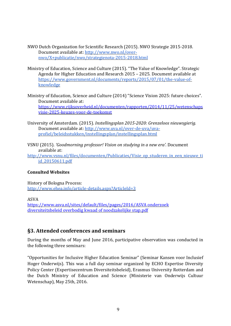- NWO Dutch Organization for Scientific Research (2015). NWO Strategie 2015-2018. Document available at: [http://www.nwo.nl/over](http://www.nwo.nl/over-nwo/X+publicatie/nwo/strategienota-2015-2018.html)[nwo/X+publicatie/nwo/strategienota-2015-2018.html](http://www.nwo.nl/over-nwo/X+publicatie/nwo/strategienota-2015-2018.html)
- Ministry of Education, Science and Culture (2015). "The Value of Knowledge". Strategic Agenda for Higher Education and Research 2015 – 2025. Document available at [https://www.government.nl/documents/reports/2015/07/01/the-value-of](https://www.government.nl/documents/reports/2015/07/01/the-value-of-knowledge)[knowledge](https://www.government.nl/documents/reports/2015/07/01/the-value-of-knowledge)
- Ministry of Education, Science and Culture (2014) "Science Vision 2025: future choices". Document available at: [https://www.rijksoverheid.nl/documenten/rapporten/2014/11/25/wetenschaps](https://www.rijksoverheid.nl/documenten/rapporten/2014/11/25/wetenschapsvisie-2025-keuzes-voor-de-toekomst) [visie-2025-keuzes-voor-de-toekomst](https://www.rijksoverheid.nl/documenten/rapporten/2014/11/25/wetenschapsvisie-2025-keuzes-voor-de-toekomst)
- University of Amsterdam. (2015). *Instellingsplan 2015-2020: Grenzeloos nieuwsgierig.* Document available at: [http://www.uva.nl/over-de-uva/uva](http://www.uva.nl/over-de-uva/uva-profiel/beleidsstukken/instellingsplan/instellingsplan.html)[profiel/beleidsstukken/instellingsplan/instellingsplan.html](http://www.uva.nl/over-de-uva/uva-profiel/beleidsstukken/instellingsplan/instellingsplan.html)
- VSNU (2015). *'Goodmorning professor! Vision on studying in a new era'.* Document available at:

http://www.ysnu.nl/files/documenten/Publicaties/Visie\_op\_studeren\_in\_een\_nieuwe\_ti [jd\\_20150611.pdf](http://www.vsnu.nl/files/documenten/Publicaties/Visie_op_studeren_in_een_nieuwe_tijd_20150611.pdf)

#### **Consulted Websites**

History of Bologna Process: <http://www.ehea.info/article-details.aspx?ArticleId=3>

ASVA

[https://www.asva.nl/sites/default/files/pages/2016/ASVA](https://www.asva.nl/sites/default/files/pages/2016/ASVA%20onderzoek%20diversiteitsbeleid%20overbodig%20kwaad%20of%20noodzakelijke%20stap.pdf) onderzoek [diversiteitsbeleid](https://www.asva.nl/sites/default/files/pages/2016/ASVA%20onderzoek%20diversiteitsbeleid%20overbodig%20kwaad%20of%20noodzakelijke%20stap.pdf) overbodig kwaad of noodzakelijke stap.pdf

#### <span id="page-8-0"></span>**§3. Attended conferences and seminars**

During the months of May and June 2016, participative observation was conducted in the following three seminars:

"Opportunities for Inclusive Higher Education Seminar" (Seminar Kansen voor Inclusief Hoger Onderwijs). This was a full day seminar organized by ECHO Expertise Diversity Policy Center (Expertisecentrum Diversiteitsbeleid), Erasmus University Rotterdam and the Dutch Ministry of Education and Science (Ministerie van Onderwijs Cultuur Wetenschap), May 25th, 2016.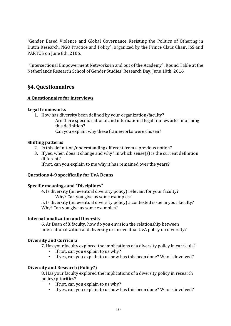"Gender Based Violence and Global Governance. Resisting the Politics of Othering in Dutch Research, NGO Practice and Policy", organized by the Prince Claus Chair, ISS and PARTOS on June 8th, 2106.

"Intersectional Empowerment Networks in and out of the Academy", Round Table at the Netherlands Research School of Gender Studies' Research Day, June 10th, 2016.

### <span id="page-9-0"></span>**§4. Questionnaires**

#### <span id="page-9-1"></span>**A Questionnaire for interviews**

#### **Legal frameworks**

- 1. How has diversity been defined by your organization/faculty?
	- Are there specific national and international legal frameworks informing this definition?
		- Can you explain why these frameworks were chosen?

#### **Shifting patterns**

- 2. Is this definition/understanding different from a previous notion?
- 3. If yes, when does it change and why? In which sense(s) is the current definition different?

If not, can you explain to me why it has remained over the years?

#### **Questions 4-9 specifically for UvA Deans**

#### **Specific meanings and "Disciplines"**

4. Is diversity (an eventual diversity policy) relevant for your faculty? Why? Can you give us some examples?

5. Is diversity (an eventual diversity policy) a contested issue in your faculty? Why? Can you give us some examples?

#### **Internationalization and Diversity**

6. As Dean of X faculty, how do you envision the relationship between internationalization and diversity or an eventual UvA policy on diversity?

#### **Diversity and Curricula**

7. Has your faculty explored the implications of a diversity policy in curricula?

- If not, can you explain to us why?
- If yes, can you explain to us how has this been done? Who is involved?

#### **Diversity and Research (Policy?)**

8. Has your faculty explored the implications of a diversity policy in research policy/priorities?

- If not, can you explain to us why?
- If yes, can you explain to us how has this been done? Who is involved?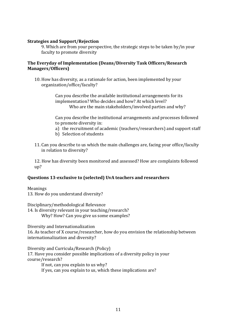#### **Strategies and Support/Rejection**

9. Which are from your perspective, the strategic steps to be taken by/in your faculty to promote diversity

#### **The Everyday of Implementation (Deans/Diversity Task Officers/Research Managers/Officers)**

10. How has diversity, as a rationale for action, been implemented by your organization/office/faculty?

> Can you describe the available institutional arrangements for its implementation? Who decides and how? At which level? Who are the main stakeholders/involved parties and why?

Can you describe the institutional arrangements and processes followed to promote diversity in:

- a) the recruitment of academic (teachers/researchers) and support staff
- b) Selection of students
- 11. Can you describe to us which the main challenges are, facing your office/faculty in relation to diversity?

12. How has diversity been monitored and assessed? How are complaints followed up?

#### **Questions 13-exclusive to (selected) UvA teachers and researchers**

Meanings 13. How do you understand diversity?

Disciplinary/methodological Relevance 14. Is diversity relevant in your teaching/research? Why? How? Can you give us some examples?

Diversity and Internationalization

16. As teacher of X course/researcher, how do you envision the relationship between internationalization and diversity?

Diversity and Curricula/Research (Policy)

17. Have you consider possible implications of a diversity policy in your course/research?

If not, can you explain to us why?

If yes, can you explain to us, which these implications are?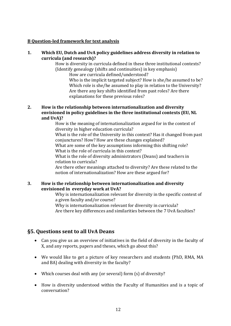#### <span id="page-11-0"></span>**B Question-led framework for text analysis**

#### **1. Which EU, Dutch and UvA policy guidelines address diversity in relation to curricula (and research)?**

How is diversity in curricula defined in these three institutional contexts? (Identify genealogy (shifts and continuities) in key emphasis)

How are curricula defined/understood?

Who is the implicit targeted subject? How is she/he assumed to be? Which role is she/he assumed to play in relation to the University? Are there any key shifts identified from past roles? Are there explanations for these previous roles?

#### **2. How is the relationship between internationalization and diversity envisioned in policy guidelines in the three institutional contexts (EU, NL and UvA)?**

How is the meaning of internationalization argued for in the context of diversity in higher education curricula?

What is the role of the University in this context? Has it changed from past conjunctures? How? How are these changes explained?

What are some of the key assumptions informing this shifting role? What is the role of curricula in this context?

What is the role of diversity administrators (Deans) and teachers in relation to curricula?

Are there other meanings attached to diversity? Are these related to the notion of internationalization? How are these argued for?

#### **3. How is the relationship between internationalization and diversity envisioned in everyday work at UvA?**

Why is internationalization relevant for diversity in the specific context of a given faculty and/or course?

Why is internationalization relevant for diversity in curricula? Are there key differences and similarities between the 7 UvA faculties?

#### <span id="page-11-1"></span>**§5. Questions sent to all UvA Deans**

- Can you give us an overview of initiatives in the field of diversity in the faculty of X, and any reports, papers and theses, which go about this?
- We would like to get a picture of key researchers and students (PhD, RMA, MA and BA) dealing with diversity in the faculty?
- Which courses deal with any (or several) form (s) of diversity?
- How is diversity understood within the Faculty of Humanities and is a topic of conversation?